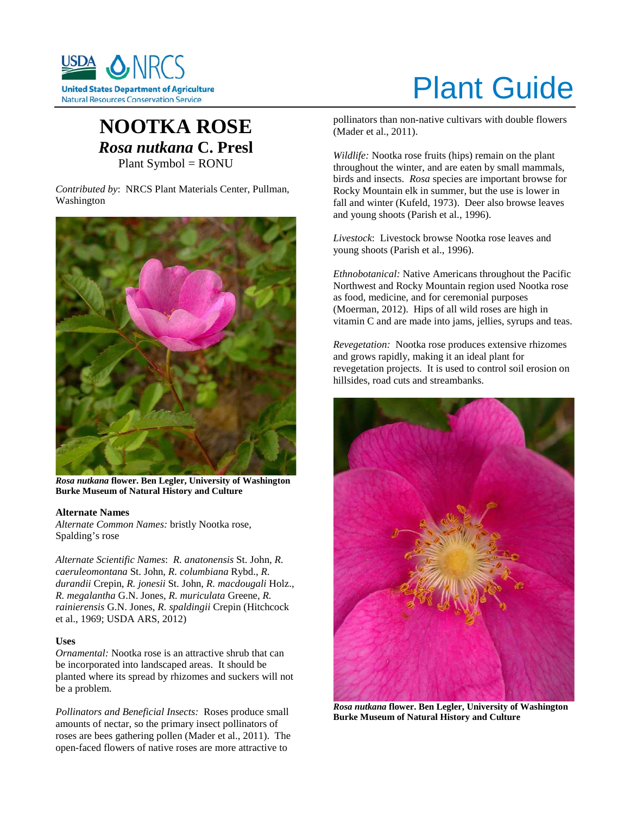

# Plant Guide

# **NOOTKA ROSE** *Rosa nutkana* **C. Presl** Plant Symbol = RONU

*Contributed by*: NRCS Plant Materials Center, Pullman, Washington



*Rosa nutkana* **flower. Ben Legler, University of Washington Burke Museum of Natural History and Culture**

#### **Alternate Names**

*Alternate Common Names:* bristly Nootka rose, Spalding's rose

*Alternate Scientific Names*: *R. anatonensis* St. John, *R. caeruleomontana* St. John, *R. columbiana* Rybd., *R. durandii* Crepin, *R. jonesii* St. John, *R. macdougali* Holz., *R. megalantha* G.N. Jones, *R. muriculata* Greene, *R. rainierensis* G.N. Jones, *R. spaldingii* Crepin (Hitchcock et al., 1969; USDA ARS, 2012)

#### **Uses**

*Ornamental:* Nootka rose is an attractive shrub that can be incorporated into landscaped areas. It should be planted where its spread by rhizomes and suckers will not be a problem.

*Pollinators and Beneficial Insects:* Roses produce small amounts of nectar, so the primary insect pollinators of roses are bees gathering pollen (Mader et al., 2011). The open-faced flowers of native roses are more attractive to

pollinators than non-native cultivars with double flowers (Mader et al., 2011).

*Wildlife:* Nootka rose fruits (hips) remain on the plant throughout the winter, and are eaten by small mammals, birds and insects. *Rosa* species are important browse for Rocky Mountain elk in summer, but the use is lower in fall and winter (Kufeld, 1973). Deer also browse leaves and young shoots (Parish et al., 1996).

*Livestock*: Livestock browse Nootka rose leaves and young shoots (Parish et al., 1996).

*Ethnobotanical:* Native Americans throughout the Pacific Northwest and Rocky Mountain region used Nootka rose as food, medicine, and for ceremonial purposes (Moerman, 2012). Hips of all wild roses are high in vitamin C and are made into jams, jellies, syrups and teas.

*Revegetation:* Nootka rose produces extensive rhizomes and grows rapidly, making it an ideal plant for revegetation projects. It is used to control soil erosion on hillsides, road cuts and streambanks.



*Rosa nutkana* **flower. Ben Legler, University of Washington Burke Museum of Natural History and Culture**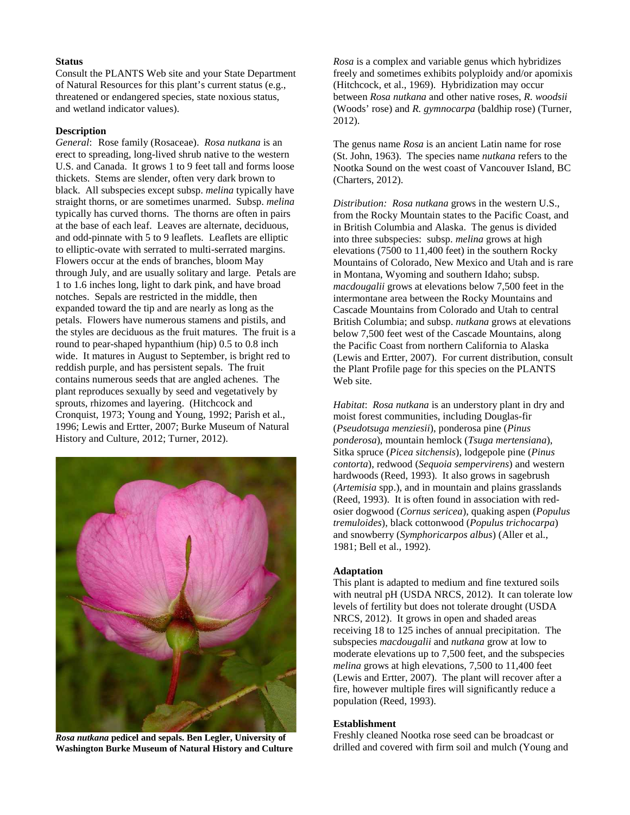#### **Status**

Consult the PLANTS Web site and your State Department of Natural Resources for this plant's current status (e.g., threatened or endangered species, state noxious status, and wetland indicator values).

#### **Description**

*General*: Rose family (Rosaceae). *Rosa nutkana* is an erect to spreading, long-lived shrub native to the western U.S. and Canada. It grows 1 to 9 feet tall and forms loose thickets. Stems are slender, often very dark brown to black. All subspecies except subsp. *melina* typically have straight thorns, or are sometimes unarmed. Subsp. *melina*  typically has curved thorns. The thorns are often in pairs at the base of each leaf. Leaves are alternate, deciduous, and odd-pinnate with 5 to 9 leaflets. Leaflets are elliptic to elliptic-ovate with serrated to multi-serrated margins. Flowers occur at the ends of branches, bloom May through July, and are usually solitary and large. Petals are 1 to 1.6 inches long, light to dark pink, and have broad notches. Sepals are restricted in the middle, then expanded toward the tip and are nearly as long as the petals. Flowers have numerous stamens and pistils, and the styles are deciduous as the fruit matures. The fruit is a round to pear-shaped hypanthium (hip) 0.5 to 0.8 inch wide. It matures in August to September, is bright red to reddish purple, and has persistent sepals. The fruit contains numerous seeds that are angled achenes. The plant reproduces sexually by seed and vegetatively by sprouts, rhizomes and layering. (Hitchcock and Cronquist, 1973; Young and Young, 1992; Parish et al., 1996; Lewis and Ertter, 2007; Burke Museum of Natural History and Culture, 2012; Turner, 2012).



*Rosa nutkana* **pedicel and sepals. Ben Legler, University of Washington Burke Museum of Natural History and Culture**

*Rosa* is a complex and variable genus which hybridizes freely and sometimes exhibits polyploidy and/or apomixis (Hitchcock, et al., 1969). Hybridization may occur between *Rosa nutkana* and other native roses, *R. woodsii* (Woods' rose) and *R. gymnocarpa* (baldhip rose) (Turner, 2012).

The genus name *Rosa* is an ancient Latin name for rose (St. John, 1963). The species name *nutkana* refers to the Nootka Sound on the west coast of Vancouver Island, BC (Charters, 2012).

*Distribution: Rosa nutkana* grows in the western U.S., from the Rocky Mountain states to the Pacific Coast, and in British Columbia and Alaska. The genus is divided into three subspecies: subsp. *melina* grows at high elevations (7500 to 11,400 feet) in the southern Rocky Mountains of Colorado, New Mexico and Utah and is rare in Montana, Wyoming and southern Idaho; subsp. *macdougalii* grows at elevations below 7,500 feet in the intermontane area between the Rocky Mountains and Cascade Mountains from Colorado and Utah to central British Columbia; and subsp. *nutkana* grows at elevations below 7,500 feet west of the Cascade Mountains, along the Pacific Coast from northern California to Alaska (Lewis and Ertter, 2007). For current distribution, consult the Plant Profile page for this species on the PLANTS Web site.

*Habitat*: *Rosa nutkana* is an understory plant in dry and moist forest communities, including Douglas-fir (*Pseudotsuga menziesii*), ponderosa pine (*Pinus ponderosa*), mountain hemlock (*Tsuga mertensiana*), Sitka spruce (*Picea sitchensis*), lodgepole pine (*Pinus contorta*), redwood (*Sequoia sempervirens*) and western hardwoods (Reed, 1993). It also grows in sagebrush (*Artemisia* spp.), and in mountain and plains grasslands (Reed, 1993). It is often found in association with redosier dogwood (*Cornus sericea*), quaking aspen (*Populus tremuloides*), black cottonwood (*Populus trichocarpa*) and snowberry (*Symphoricarpos albus*) (Aller et al., 1981; Bell et al., 1992).

#### **Adaptation**

This plant is adapted to medium and fine textured soils with neutral pH (USDA NRCS, 2012). It can tolerate low levels of fertility but does not tolerate drought (USDA NRCS, 2012). It grows in open and shaded areas receiving 18 to 125 inches of annual precipitation. The subspecies *macdougalii* and *nutkana* grow at low to moderate elevations up to 7,500 feet, and the subspecies *melina* grows at high elevations, 7,500 to 11,400 feet (Lewis and Ertter, 2007). The plant will recover after a fire, however multiple fires will significantly reduce a population (Reed, 1993).

#### **Establishment**

Freshly cleaned Nootka rose seed can be broadcast or drilled and covered with firm soil and mulch (Young and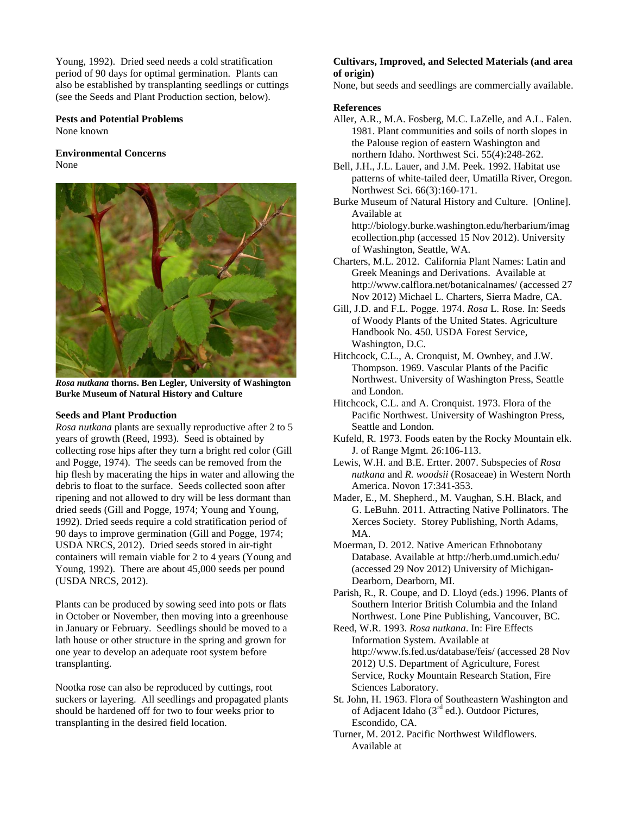Young, 1992). Dried seed needs a cold stratification period of 90 days for optimal germination. Plants can also be established by transplanting seedlings or cuttings (see the Seeds and Plant Production section, below).

**Pests and Potential Problems** None known

#### **Environmental Concerns** None



*Rosa nutkana* **thorns. Ben Legler, University of Washington Burke Museum of Natural History and Culture**

#### **Seeds and Plant Production**

*Rosa nutkana* plants are sexually reproductive after 2 to 5 years of growth (Reed, 1993). Seed is obtained by collecting rose hips after they turn a bright red color (Gill and Pogge, 1974). The seeds can be removed from the hip flesh by macerating the hips in water and allowing the debris to float to the surface. Seeds collected soon after ripening and not allowed to dry will be less dormant than dried seeds (Gill and Pogge, 1974; Young and Young, 1992). Dried seeds require a cold stratification period of 90 days to improve germination (Gill and Pogge, 1974; USDA NRCS, 2012). Dried seeds stored in air-tight containers will remain viable for 2 to 4 years (Young and Young, 1992). There are about 45,000 seeds per pound (USDA NRCS, 2012).

Plants can be produced by sowing seed into pots or flats in October or November, then moving into a greenhouse in January or February. Seedlings should be moved to a lath house or other structure in the spring and grown for one year to develop an adequate root system before transplanting.

Nootka rose can also be reproduced by cuttings, root suckers or layering. All seedlings and propagated plants should be hardened off for two to four weeks prior to transplanting in the desired field location.

# **Cultivars, Improved, and Selected Materials (and area of origin)**

None, but seeds and seedlings are commercially available.

# **References**

- Aller, A.R., M.A. Fosberg, M.C. LaZelle, and A.L. Falen. 1981. Plant communities and soils of north slopes in the Palouse region of eastern Washington and northern Idaho. Northwest Sci. 55(4):248-262.
- Bell, J.H., J.L. Lauer, and J.M. Peek. 1992. Habitat use patterns of white-tailed deer, Umatilla River, Oregon. Northwest Sci. 66(3):160-171.
- Burke Museum of Natural History and Culture. [Online]. Available at

http://biology.burke.washington.edu/herbarium/imag ecollection.php (accessed 15 Nov 2012). University of Washington, Seattle, WA.

- Charters, M.L. 2012. California Plant Names: Latin and Greek Meanings and Derivations. Available at http://www.calflora.net/botanicalnames/ (accessed 27 Nov 2012) Michael L. Charters, Sierra Madre, CA.
- Gill, J.D. and F.L. Pogge. 1974. *Rosa* L. Rose. In: Seeds of Woody Plants of the United States. Agriculture Handbook No. 450. USDA Forest Service, Washington, D.C.
- Hitchcock, C.L., A. Cronquist, M. Ownbey, and J.W. Thompson. 1969. Vascular Plants of the Pacific Northwest. University of Washington Press, Seattle and London.
- Hitchcock, C.L. and A. Cronquist. 1973. Flora of the Pacific Northwest. University of Washington Press, Seattle and London.
- Kufeld, R. 1973. Foods eaten by the Rocky Mountain elk. J. of Range Mgmt. 26:106-113.
- Lewis, W.H. and B.E. Ertter. 2007. Subspecies of *Rosa nutkana* and *R. woodsii* (Rosaceae) in Western North America. Novon 17:341-353.
- Mader, E., M. Shepherd., M. Vaughan, S.H. Black, and G. LeBuhn. 2011. Attracting Native Pollinators. The Xerces Society. Storey Publishing, North Adams, MA.
- Moerman, D. 2012. Native American Ethnobotany Database. Available at http://herb.umd.umich.edu/ (accessed 29 Nov 2012) University of Michigan-Dearborn, Dearborn, MI.

Parish, R., R. Coupe, and D. Lloyd (eds.) 1996. Plants of Southern Interior British Columbia and the Inland Northwest. Lone Pine Publishing, Vancouver, BC.

- Reed, W.R. 1993. *Rosa nutkana*. In: Fire Effects Information System. Available at http://www.fs.fed.us/database/feis/ (accessed 28 Nov 2012) U.S. Department of Agriculture, Forest Service, Rocky Mountain Research Station, Fire Sciences Laboratory.
- St. John, H. 1963. Flora of Southeastern Washington and of Adjacent Idaho (3<sup>rd</sup> ed.). Outdoor Pictures, Escondido, CA.
- Turner, M. 2012. Pacific Northwest Wildflowers. Available at